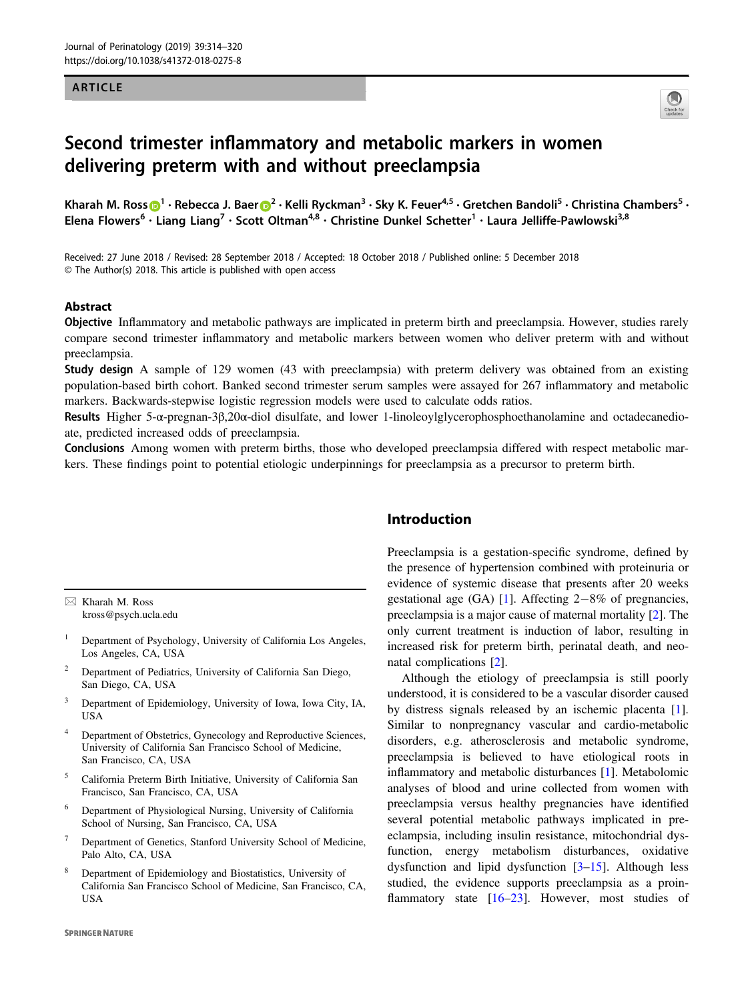#### ARTICLE



# Second trimester inflammatory and metabolic markers in women delivering preterm with and without preeclampsia

Kha[r](http://orcid.org/0000-0001-8485-1977)ah M. Ross $\bigcirc^1$  $\bigcirc^1$  • Rebecca J. Baer $\bigcirc^2$  $\bigcirc^2$  • Kelli Ryckman<sup>3</sup> • Sky K. Feuer<sup>4,5</sup> • Gretchen Bandoli<sup>5</sup> • Christina Chambers<sup>5</sup> • Elena Flowers<sup>6</sup> • Liang Liang<sup>7</sup> • Scott Oltman<sup>4,8</sup> • Christine Dunkel Schetter<sup>1</sup> • Laura Jelliffe-Pawlowski<sup>3,8</sup>

Received: 27 June 2018 / Revised: 28 September 2018 / Accepted: 18 October 2018 / Published online: 5 December 2018 © The Author(s) 2018. This article is published with open access

## Abstract

Objective Inflammatory and metabolic pathways are implicated in preterm birth and preeclampsia. However, studies rarely compare second trimester inflammatory and metabolic markers between women who deliver preterm with and without preeclampsia.

Study design A sample of 129 women (43 with preeclampsia) with preterm delivery was obtained from an existing population-based birth cohort. Banked second trimester serum samples were assayed for 267 inflammatory and metabolic markers. Backwards-stepwise logistic regression models were used to calculate odds ratios.

Results Higher 5-α-pregnan-3β,20α-diol disulfate, and lower 1-linoleoylglycerophosphoethanolamine and octadecanedioate, predicted increased odds of preeclampsia.

Conclusions Among women with preterm births, those who developed preeclampsia differed with respect metabolic markers. These findings point to potential etiologic underpinnings for preeclampsia as a precursor to preterm birth.

 $\boxtimes$  Kharah M. Ross [kross@psych.ucla.edu](mailto:kross@psych.ucla.edu)

- <sup>1</sup> Department of Psychology, University of California Los Angeles, Los Angeles, CA, USA
- <sup>2</sup> Department of Pediatrics, University of California San Diego, San Diego, CA, USA
- <sup>3</sup> Department of Epidemiology, University of Iowa, Iowa City, IA, USA
- <sup>4</sup> Department of Obstetrics, Gynecology and Reproductive Sciences, University of California San Francisco School of Medicine, San Francisco, CA, USA
- <sup>5</sup> California Preterm Birth Initiative, University of California San Francisco, San Francisco, CA, USA
- <sup>6</sup> Department of Physiological Nursing, University of California School of Nursing, San Francisco, CA, USA
- Department of Genetics, Stanford University School of Medicine, Palo Alto, CA, USA
- <sup>8</sup> Department of Epidemiology and Biostatistics, University of California San Francisco School of Medicine, San Francisco, CA, USA

# Introduction

Preeclampsia is a gestation-specific syndrome, defined by the presence of hypertension combined with proteinuria or evidence of systemic disease that presents after 20 weeks gestational age (GA) [\[1](#page-5-0)]. Affecting 2−8% of pregnancies, preeclampsia is a major cause of maternal mortality [[2\]](#page-5-0). The only current treatment is induction of labor, resulting in increased risk for preterm birth, perinatal death, and neonatal complications [[2\]](#page-5-0).

Although the etiology of preeclampsia is still poorly understood, it is considered to be a vascular disorder caused by distress signals released by an ischemic placenta [[1\]](#page-5-0). Similar to nonpregnancy vascular and cardio-metabolic disorders, e.g. atherosclerosis and metabolic syndrome, preeclampsia is believed to have etiological roots in inflammatory and metabolic disturbances [[1\]](#page-5-0). Metabolomic analyses of blood and urine collected from women with preeclampsia versus healthy pregnancies have identified several potential metabolic pathways implicated in preeclampsia, including insulin resistance, mitochondrial dysfunction, energy metabolism disturbances, oxidative dysfunction and lipid dysfunction [[3](#page-5-0)–[15\]](#page-5-0). Although less studied, the evidence supports preeclampsia as a proinflammatory state  $[16-23]$  $[16-23]$  $[16-23]$  $[16-23]$ . However, most studies of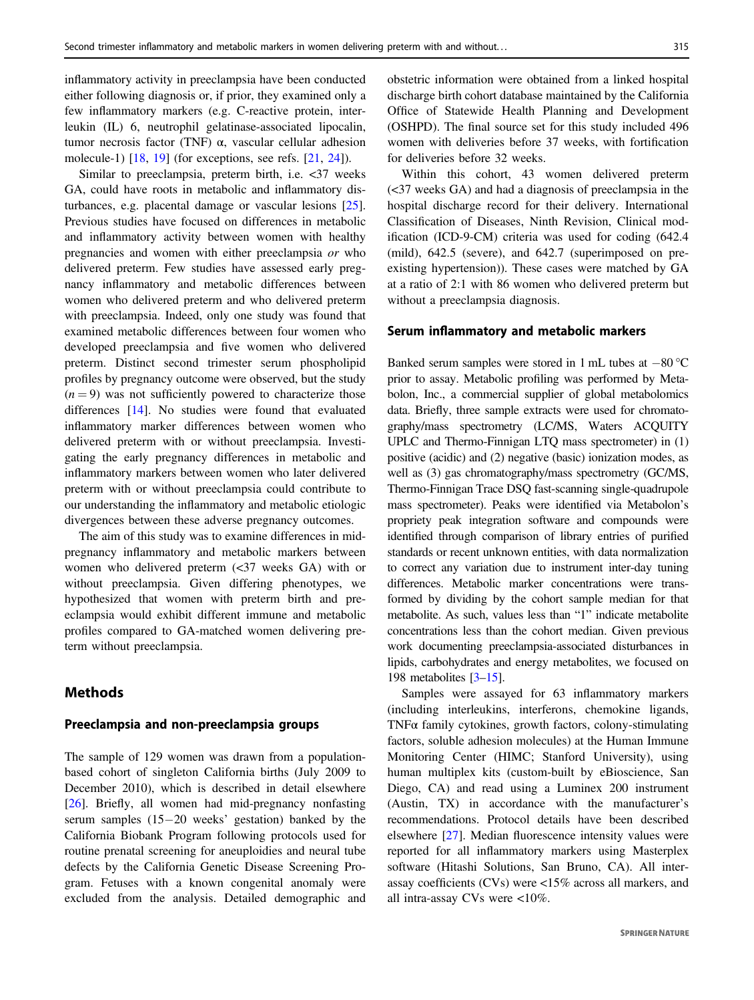inflammatory activity in preeclampsia have been conducted either following diagnosis or, if prior, they examined only a few inflammatory markers (e.g. C-reactive protein, interleukin (IL) 6, neutrophil gelatinase-associated lipocalin, tumor necrosis factor (TNF) α, vascular cellular adhesion molecule-1) [\[18](#page-5-0), [19\]](#page-5-0) (for exceptions, see refs. [\[21](#page-5-0), [24](#page-6-0)]).

Similar to preeclampsia, preterm birth, i.e. <37 weeks GA, could have roots in metabolic and inflammatory disturbances, e.g. placental damage or vascular lesions [\[25](#page-6-0)]. Previous studies have focused on differences in metabolic and inflammatory activity between women with healthy pregnancies and women with either preeclampsia or who delivered preterm. Few studies have assessed early pregnancy inflammatory and metabolic differences between women who delivered preterm and who delivered preterm with preeclampsia. Indeed, only one study was found that examined metabolic differences between four women who developed preeclampsia and five women who delivered preterm. Distinct second trimester serum phospholipid profiles by pregnancy outcome were observed, but the study  $(n = 9)$  was not sufficiently powered to characterize those differences [[14\]](#page-5-0). No studies were found that evaluated inflammatory marker differences between women who delivered preterm with or without preeclampsia. Investigating the early pregnancy differences in metabolic and inflammatory markers between women who later delivered preterm with or without preeclampsia could contribute to our understanding the inflammatory and metabolic etiologic divergences between these adverse pregnancy outcomes.

The aim of this study was to examine differences in midpregnancy inflammatory and metabolic markers between women who delivered preterm (<37 weeks GA) with or without preeclampsia. Given differing phenotypes, we hypothesized that women with preterm birth and preeclampsia would exhibit different immune and metabolic profiles compared to GA-matched women delivering preterm without preeclampsia.

# Methods

## Preeclampsia and non-preeclampsia groups

The sample of 129 women was drawn from a populationbased cohort of singleton California births (July 2009 to December 2010), which is described in detail elsewhere [\[26](#page-6-0)]. Briefly, all women had mid-pregnancy nonfasting serum samples (15−20 weeks' gestation) banked by the California Biobank Program following protocols used for routine prenatal screening for aneuploidies and neural tube defects by the California Genetic Disease Screening Program. Fetuses with a known congenital anomaly were excluded from the analysis. Detailed demographic and obstetric information were obtained from a linked hospital discharge birth cohort database maintained by the California Office of Statewide Health Planning and Development (OSHPD). The final source set for this study included 496 women with deliveries before 37 weeks, with fortification for deliveries before 32 weeks.

Within this cohort, 43 women delivered preterm (<37 weeks GA) and had a diagnosis of preeclampsia in the hospital discharge record for their delivery. International Classification of Diseases, Ninth Revision, Clinical modification (ICD-9-CM) criteria was used for coding (642.4 (mild), 642.5 (severe), and 642.7 (superimposed on preexisting hypertension)). These cases were matched by GA at a ratio of 2:1 with 86 women who delivered preterm but without a preeclampsia diagnosis.

## Serum inflammatory and metabolic markers

Banked serum samples were stored in 1 mL tubes at −80 °C prior to assay. Metabolic profiling was performed by Metabolon, Inc., a commercial supplier of global metabolomics data. Briefly, three sample extracts were used for chromatography/mass spectrometry (LC/MS, Waters ACQUITY UPLC and Thermo-Finnigan LTQ mass spectrometer) in (1) positive (acidic) and (2) negative (basic) ionization modes, as well as (3) gas chromatography/mass spectrometry (GC/MS, Thermo-Finnigan Trace DSQ fast-scanning single-quadrupole mass spectrometer). Peaks were identified via Metabolon's propriety peak integration software and compounds were identified through comparison of library entries of purified standards or recent unknown entities, with data normalization to correct any variation due to instrument inter-day tuning differences. Metabolic marker concentrations were transformed by dividing by the cohort sample median for that metabolite. As such, values less than "1" indicate metabolite concentrations less than the cohort median. Given previous work documenting preeclampsia-associated disturbances in lipids, carbohydrates and energy metabolites, we focused on 198 metabolites [\[3](#page-5-0)–[15\]](#page-5-0).

Samples were assayed for 63 inflammatory markers (including interleukins, interferons, chemokine ligands, TNFα family cytokines, growth factors, colony-stimulating factors, soluble adhesion molecules) at the Human Immune Monitoring Center (HIMC; Stanford University), using human multiplex kits (custom-built by eBioscience, San Diego, CA) and read using a Luminex 200 instrument (Austin, TX) in accordance with the manufacturer's recommendations. Protocol details have been described elsewhere [\[27](#page-6-0)]. Median fluorescence intensity values were reported for all inflammatory markers using Masterplex software (Hitashi Solutions, San Bruno, CA). All interassay coefficients (CVs) were <15% across all markers, and all intra-assay CVs were <10%.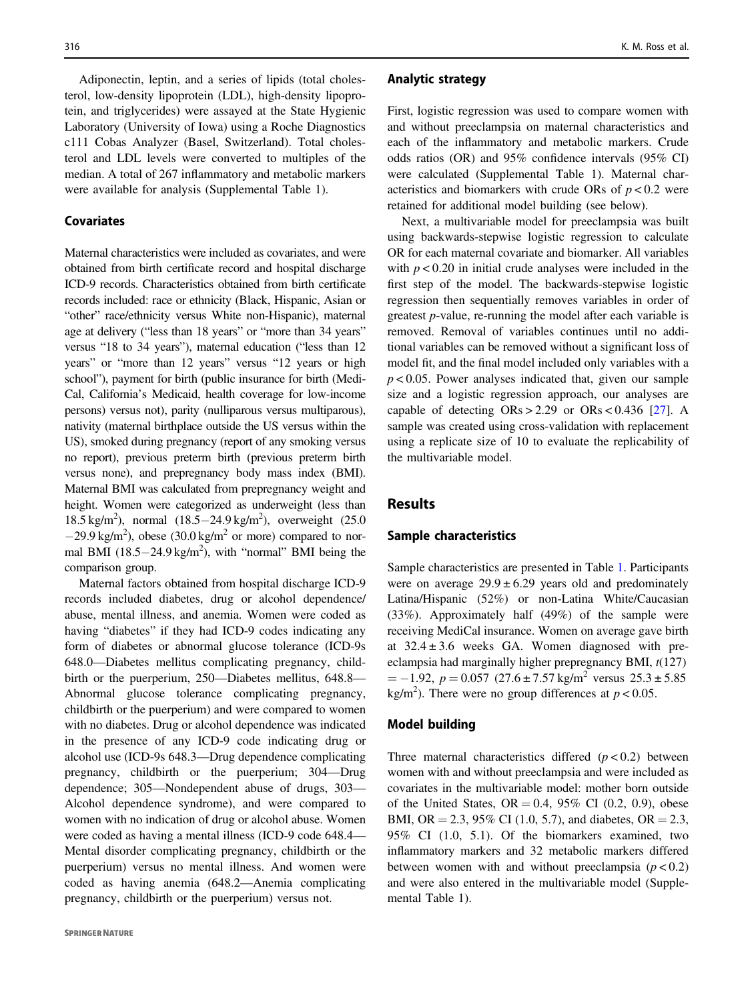Adiponectin, leptin, and a series of lipids (total cholesterol, low-density lipoprotein (LDL), high-density lipoprotein, and triglycerides) were assayed at the State Hygienic Laboratory (University of Iowa) using a Roche Diagnostics c111 Cobas Analyzer (Basel, Switzerland). Total cholesterol and LDL levels were converted to multiples of the median. A total of 267 inflammatory and metabolic markers were available for analysis (Supplemental Table 1).

## Covariates

Maternal characteristics were included as covariates, and were obtained from birth certificate record and hospital discharge ICD-9 records. Characteristics obtained from birth certificate records included: race or ethnicity (Black, Hispanic, Asian or "other" race/ethnicity versus White non-Hispanic), maternal age at delivery ("less than 18 years" or "more than 34 years" versus "18 to 34 years"), maternal education ("less than 12 years" or "more than 12 years" versus "12 years or high school"), payment for birth (public insurance for birth (Medi-Cal, California's Medicaid, health coverage for low-income persons) versus not), parity (nulliparous versus multiparous), nativity (maternal birthplace outside the US versus within the US), smoked during pregnancy (report of any smoking versus no report), previous preterm birth (previous preterm birth versus none), and prepregnancy body mass index (BMI). Maternal BMI was calculated from prepregnancy weight and height. Women were categorized as underweight (less than 18.5 kg/m<sup>2</sup>), normal (18.5–24.9 kg/m<sup>2</sup>), overweight (25.0  $-29.9 \text{ kg/m}^2$ ), obese (30.0 kg/m<sup>2</sup> or more) compared to normal BMI  $(18.5-24.9 \text{ kg/m}^2)$ , with "normal" BMI being the comparison group.

Maternal factors obtained from hospital discharge ICD-9 records included diabetes, drug or alcohol dependence/ abuse, mental illness, and anemia. Women were coded as having "diabetes" if they had ICD-9 codes indicating any form of diabetes or abnormal glucose tolerance (ICD-9s 648.0—Diabetes mellitus complicating pregnancy, childbirth or the puerperium, 250—Diabetes mellitus, 648.8— Abnormal glucose tolerance complicating pregnancy, childbirth or the puerperium) and were compared to women with no diabetes. Drug or alcohol dependence was indicated in the presence of any ICD-9 code indicating drug or alcohol use (ICD-9s 648.3—Drug dependence complicating pregnancy, childbirth or the puerperium; 304—Drug dependence; 305—Nondependent abuse of drugs, 303— Alcohol dependence syndrome), and were compared to women with no indication of drug or alcohol abuse. Women were coded as having a mental illness (ICD-9 code 648.4— Mental disorder complicating pregnancy, childbirth or the puerperium) versus no mental illness. And women were coded as having anemia (648.2—Anemia complicating pregnancy, childbirth or the puerperium) versus not.

#### Analytic strategy

First, logistic regression was used to compare women with and without preeclampsia on maternal characteristics and each of the inflammatory and metabolic markers. Crude odds ratios (OR) and 95% confidence intervals (95% CI) were calculated (Supplemental Table 1). Maternal characteristics and biomarkers with crude ORs of  $p < 0.2$  were retained for additional model building (see below).

Next, a multivariable model for preeclampsia was built using backwards-stepwise logistic regression to calculate OR for each maternal covariate and biomarker. All variables with  $p < 0.20$  in initial crude analyses were included in the first step of the model. The backwards-stepwise logistic regression then sequentially removes variables in order of greatest p-value, re-running the model after each variable is removed. Removal of variables continues until no additional variables can be removed without a significant loss of model fit, and the final model included only variables with a  $p < 0.05$ . Power analyses indicated that, given our sample size and a logistic regression approach, our analyses are capable of detecting  $ORs > 2.29$  or  $ORs < 0.436$  [\[27](#page-6-0)]. A sample was created using cross-validation with replacement using a replicate size of 10 to evaluate the replicability of the multivariable model.

## Results

#### Sample characteristics

Sample characteristics are presented in Table [1.](#page-3-0) Participants were on average  $29.9 \pm 6.29$  years old and predominately Latina/Hispanic (52%) or non-Latina White/Caucasian (33%). Approximately half (49%) of the sample were receiving MediCal insurance. Women on average gave birth at  $32.4 \pm 3.6$  weeks GA. Women diagnosed with preeclampsia had marginally higher prepregnancy BMI,  $t(127)$  $= -1.92$ ,  $p = 0.057$  (27.6 ± 7.57 kg/m<sup>2</sup> versus 25.3 ± 5.85 kg/m<sup>2</sup>). There were no group differences at  $p < 0.05$ .

#### Model building

Three maternal characteristics differed  $(p < 0.2)$  between women with and without preeclampsia and were included as covariates in the multivariable model: mother born outside of the United States,  $OR = 0.4$ , 95% CI (0.2, 0.9), obese BMI, OR = 2.3, 95% CI (1.0, 5.7), and diabetes, OR = 2.3, 95% CI (1.0, 5.1). Of the biomarkers examined, two inflammatory markers and 32 metabolic markers differed between women with and without preeclampsia  $(p < 0.2)$ and were also entered in the multivariable model (Supplemental Table 1).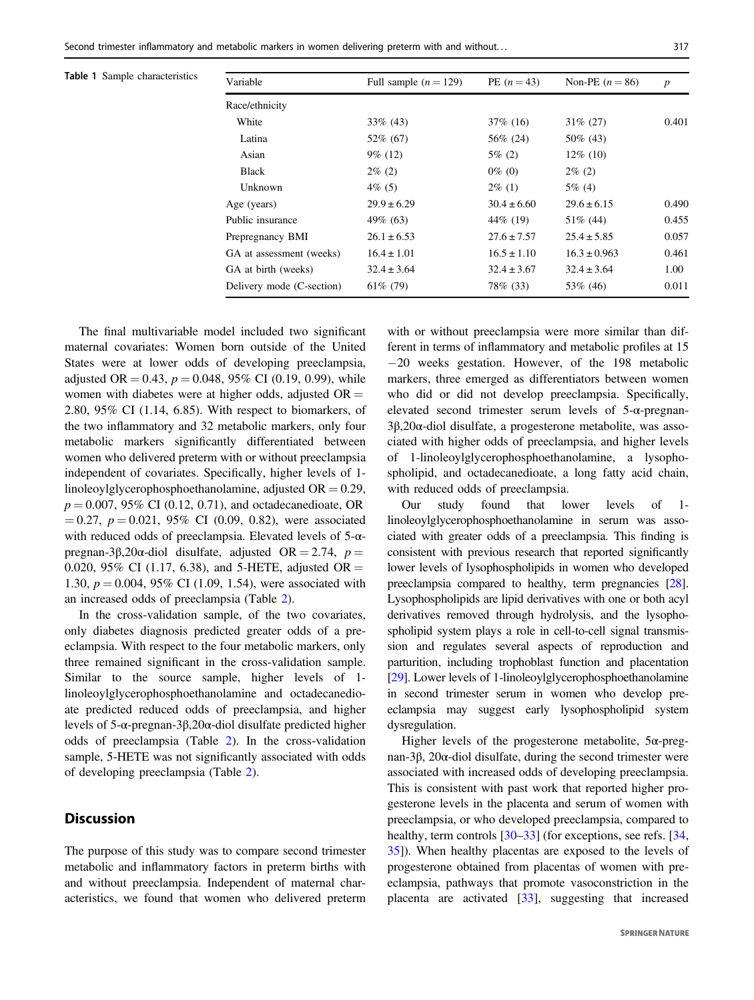|  |  | <b>Table 1</b> Sample characteristics | Varia |
|--|--|---------------------------------------|-------|
|--|--|---------------------------------------|-------|

<span id="page-3-0"></span>

| <b>Table 1</b> Sample characteristics | Variable                  | Full sample $(n = 129)$ | PE $(n = 43)$   | Non-PE $(n=86)$  | $\boldsymbol{p}$ |  |
|---------------------------------------|---------------------------|-------------------------|-----------------|------------------|------------------|--|
|                                       | Race/ethnicity            |                         |                 |                  |                  |  |
|                                       | White                     | $33\%$ (43)             | $37\%$ (16)     | $31\% (27)$      | 0.401            |  |
|                                       | Latina                    | 52\% (67)               | 56\% (24)       | $50\%$ (43)      |                  |  |
|                                       | Asian                     | $9\%$ (12)              | $5\%$ (2)       | $12\%$ (10)      |                  |  |
|                                       | Black                     | $2\%$ (2)               | $0\%$ (0)       | $2\%$ (2)        |                  |  |
|                                       | Unknown                   | $4\%$ (5)               | $2\%$ (1)       | $5\%$ (4)        |                  |  |
|                                       | Age (years)               | $29.9 \pm 6.29$         | $30.4 \pm 6.60$ | $29.6 \pm 6.15$  | 0.490            |  |
|                                       | Public insurance          | 49\% (63)               | 44\% (19)       | $51\%$ (44)      | 0.455            |  |
|                                       | Prepregnancy BMI          | $26.1 \pm 6.53$         | $27.6 \pm 7.57$ | $25.4 \pm 5.85$  | 0.057            |  |
|                                       | GA at assessment (weeks)  | $16.4 \pm 1.01$         | $16.5 \pm 1.10$ | $16.3 \pm 0.963$ | 0.461            |  |
|                                       | GA at birth (weeks)       | $32.4 \pm 3.64$         | $32.4 \pm 3.67$ | $32.4 \pm 3.64$  | 1.00             |  |
|                                       | Delivery mode (C-section) | $61\%$ (79)             | 78\% (33)       | 53\% (46)        | 0.011            |  |
|                                       |                           |                         |                 |                  |                  |  |

The final multivariable model included two significant maternal covariates: Women born outside of the United States were at lower odds of developing preeclampsia, adjusted OR = 0.43,  $p = 0.048$ , 95% CI (0.19, 0.99), while women with diabetes were at higher odds, adjusted  $OR =$ 2.80, 95% CI (1.14, 6.85). With respect to biomarkers, of the two inflammatory and 32 metabolic markers, only four metabolic markers significantly differentiated between women who delivered preterm with or without preeclampsia independent of covariates. Specifically, higher levels of 1 linoleoylglycerophosphoethanolamine, adjusted  $OR = 0.29$ ,  $p = 0.007, 95\% \text{ CI } (0.12, 0.71)$ , and octadecanedioate, OR  $= 0.27, p = 0.021, 95\% \text{ CI } (0.09, 0.82),$  were associated with reduced odds of preeclampsia. Elevated levels of 5-αpregnan-3β,20α-diol disulfate, adjusted OR = 2.74,  $p =$ 0.020, 95% CI (1.17, 6.38), and 5-HETE, adjusted OR = 1.30,  $p = 0.004$ , 95% CI (1.09, 1.54), were associated with an increased odds of preeclampsia (Table [2](#page-4-0)).

In the cross-validation sample, of the two covariates, only diabetes diagnosis predicted greater odds of a preeclampsia. With respect to the four metabolic markers, only three remained significant in the cross-validation sample. Similar to the source sample, higher levels of 1 linoleoylglycerophosphoethanolamine and octadecanedioate predicted reduced odds of preeclampsia, and higher levels of 5-α-pregnan-3β,20α-diol disulfate predicted higher odds of preeclampsia (Table [2](#page-4-0)). In the cross-validation sample, 5-HETE was not significantly associated with odds of developing preeclampsia (Table [2](#page-4-0)).

# **Discussion**

The purpose of this study was to compare second trimester metabolic and inflammatory factors in preterm births with and without preeclampsia. Independent of maternal characteristics, we found that women who delivered preterm with or without preeclampsia were more similar than different in terms of inflammatory and metabolic profiles at 15 −20 weeks gestation. However, of the 198 metabolic markers, three emerged as differentiators between women who did or did not develop preeclampsia. Specifically, elevated second trimester serum levels of 5-α-pregnan-3β,20α-diol disulfate, a progesterone metabolite, was associated with higher odds of preeclampsia, and higher levels of 1-linoleoylglycerophosphoethanolamine, a lysophospholipid, and octadecanedioate, a long fatty acid chain, with reduced odds of preeclampsia.

Our study found that lower levels of 1 linoleoylglycerophosphoethanolamine in serum was associated with greater odds of a preeclampsia. This finding is consistent with previous research that reported significantly lower levels of lysophospholipids in women who developed preeclampsia compared to healthy, term pregnancies [\[28\]](#page-6-0). Lysophospholipids are lipid derivatives with one or both acyl derivatives removed through hydrolysis, and the lysophospholipid system plays a role in cell-to-cell signal transmission and regulates several aspects of reproduction and parturition, including trophoblast function and placentation [\[29\]](#page-6-0). Lower levels of 1-linoleoylglycerophosphoethanolamine in second trimester serum in women who develop preeclampsia may suggest early lysophospholipid system dysregulation.

Higher levels of the progesterone metabolite, 5α-pregnan-3β, 20α-diol disulfate, during the second trimester were associated with increased odds of developing preeclampsia. This is consistent with past work that reported higher progesterone levels in the placenta and serum of women with preeclampsia, or who developed preeclampsia, compared to healthy, term controls [\[30](#page-6-0)–[33](#page-6-0)] (for exceptions, see refs. [[34,](#page-6-0) [35](#page-6-0)]). When healthy placentas are exposed to the levels of progesterone obtained from placentas of women with preeclampsia, pathways that promote vasoconstriction in the placenta are activated [[33\]](#page-6-0), suggesting that increased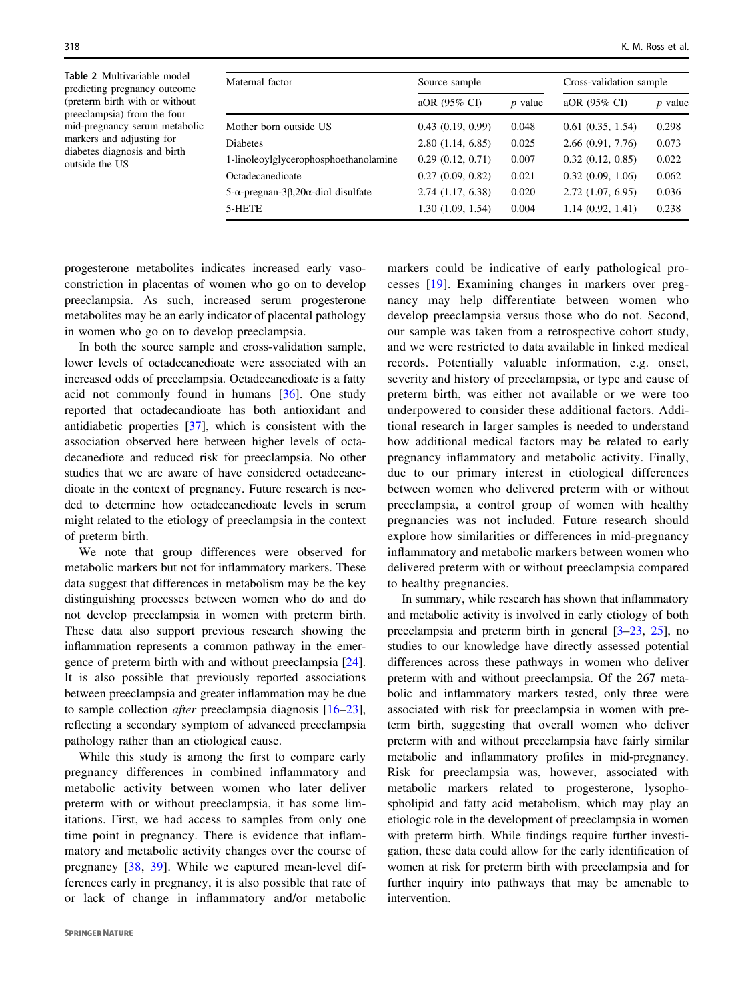<span id="page-4-0"></span>Table 2 Multivariable model predicting pregnancy outcome (preterm birth with or without preeclampsia) from the four mid-pregnancy serum metabolic markers and adjusting for diabetes diagnosis and birth outside the US

| Maternal factor                       | Source sample       |           | Cross-validation sample |           |
|---------------------------------------|---------------------|-----------|-------------------------|-----------|
|                                       | aOR (95% CI)        | $p$ value | aOR (95% CI)            | $p$ value |
| Mother born outside US                | 0.43(0.19, 0.99)    | 0.048     | 0.61(0.35, 1.54)        | 0.298     |
| Diabetes                              | 2.80(1.14, 6.85)    | 0.025     | 2.66(0.91, 7.76)        | 0.073     |
| 1-linoleoylglycerophosphoethanolamine | 0.29(0.12, 0.71)    | 0.007     | 0.32(0.12, 0.85)        | 0.022     |
| Octadecanedioate                      | 0.27(0.09, 0.82)    | 0.021     | 0.32(0.09, 1.06)        | 0.062     |
| 5-α-pregnan-3β,20α-diol disulfate     | $2.74$ (1.17, 6.38) | 0.020     | $2.72$ $(1.07, 6.95)$   | 0.036     |
| 5-HETE                                | 1.30(1.09, 1.54)    | 0.004     | 1.14(0.92, 1.41)        | 0.238     |
|                                       |                     |           |                         |           |

progesterone metabolites indicates increased early vasoconstriction in placentas of women who go on to develop preeclampsia. As such, increased serum progesterone metabolites may be an early indicator of placental pathology in women who go on to develop preeclampsia.

In both the source sample and cross-validation sample, lower levels of octadecanedioate were associated with an increased odds of preeclampsia. Octadecanedioate is a fatty acid not commonly found in humans [\[36](#page-6-0)]. One study reported that octadecandioate has both antioxidant and antidiabetic properties [\[37](#page-6-0)], which is consistent with the association observed here between higher levels of octadecanediote and reduced risk for preeclampsia. No other studies that we are aware of have considered octadecanedioate in the context of pregnancy. Future research is needed to determine how octadecanedioate levels in serum might related to the etiology of preeclampsia in the context of preterm birth.

We note that group differences were observed for metabolic markers but not for inflammatory markers. These data suggest that differences in metabolism may be the key distinguishing processes between women who do and do not develop preeclampsia in women with preterm birth. These data also support previous research showing the inflammation represents a common pathway in the emergence of preterm birth with and without preeclampsia [\[24](#page-6-0)]. It is also possible that previously reported associations between preeclampsia and greater inflammation may be due to sample collection after preeclampsia diagnosis [\[16](#page-5-0)–[23](#page-6-0)], reflecting a secondary symptom of advanced preeclampsia pathology rather than an etiological cause.

While this study is among the first to compare early pregnancy differences in combined inflammatory and metabolic activity between women who later deliver preterm with or without preeclampsia, it has some limitations. First, we had access to samples from only one time point in pregnancy. There is evidence that inflammatory and metabolic activity changes over the course of pregnancy [\[38,](#page-6-0) [39](#page-6-0)]. While we captured mean-level differences early in pregnancy, it is also possible that rate of or lack of change in inflammatory and/or metabolic

markers could be indicative of early pathological processes [[19](#page-5-0)]. Examining changes in markers over pregnancy may help differentiate between women who develop preeclampsia versus those who do not. Second, our sample was taken from a retrospective cohort study, and we were restricted to data available in linked medical records. Potentially valuable information, e.g. onset, severity and history of preeclampsia, or type and cause of preterm birth, was either not available or we were too underpowered to consider these additional factors. Additional research in larger samples is needed to understand how additional medical factors may be related to early pregnancy inflammatory and metabolic activity. Finally, due to our primary interest in etiological differences between women who delivered preterm with or without preeclampsia, a control group of women with healthy pregnancies was not included. Future research should explore how similarities or differences in mid-pregnancy inflammatory and metabolic markers between women who delivered preterm with or without preeclampsia compared to healthy pregnancies.

In summary, while research has shown that inflammatory and metabolic activity is involved in early etiology of both preeclampsia and preterm birth in general [[3](#page-5-0)–[23](#page-6-0), [25](#page-6-0)], no studies to our knowledge have directly assessed potential differences across these pathways in women who deliver preterm with and without preeclampsia. Of the 267 metabolic and inflammatory markers tested, only three were associated with risk for preeclampsia in women with preterm birth, suggesting that overall women who deliver preterm with and without preeclampsia have fairly similar metabolic and inflammatory profiles in mid-pregnancy. Risk for preeclampsia was, however, associated with metabolic markers related to progesterone, lysophospholipid and fatty acid metabolism, which may play an etiologic role in the development of preeclampsia in women with preterm birth. While findings require further investigation, these data could allow for the early identification of women at risk for preterm birth with preeclampsia and for further inquiry into pathways that may be amenable to intervention.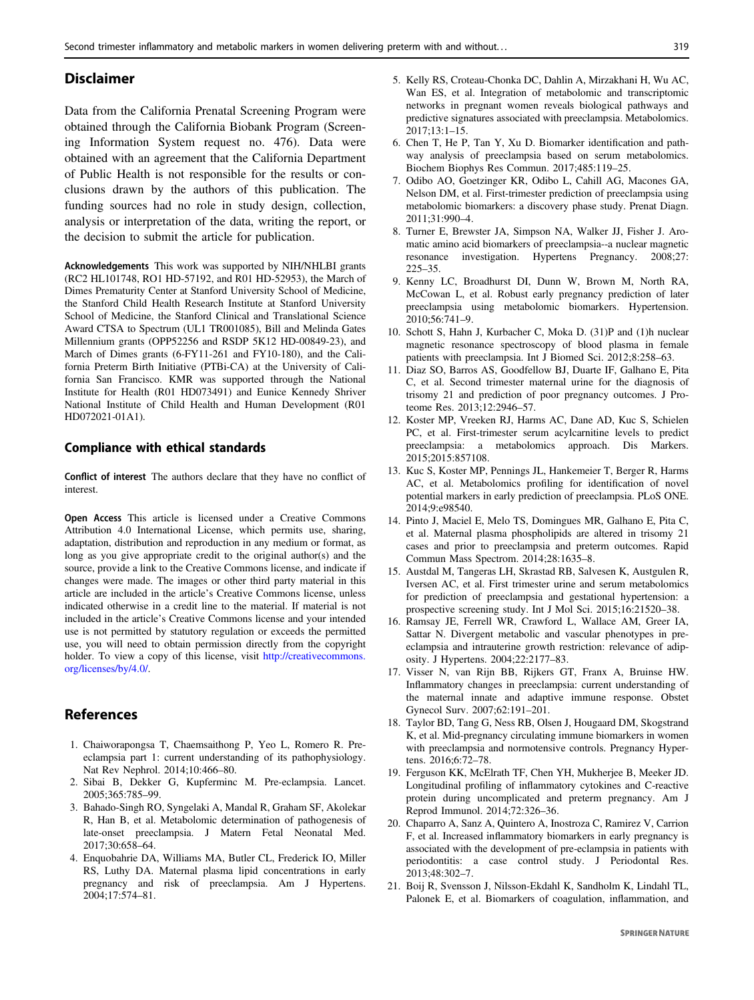## <span id="page-5-0"></span>Disclaimer

Data from the California Prenatal Screening Program were obtained through the California Biobank Program (Screening Information System request no. 476). Data were obtained with an agreement that the California Department of Public Health is not responsible for the results or conclusions drawn by the authors of this publication. The funding sources had no role in study design, collection, analysis or interpretation of the data, writing the report, or the decision to submit the article for publication.

Acknowledgements This work was supported by NIH/NHLBI grants (RC2 HL101748, RO1 HD-57192, and R01 HD-52953), the March of Dimes Prematurity Center at Stanford University School of Medicine, the Stanford Child Health Research Institute at Stanford University School of Medicine, the Stanford Clinical and Translational Science Award CTSA to Spectrum (UL1 TR001085), Bill and Melinda Gates Millennium grants (OPP52256 and RSDP 5K12 HD-00849-23), and March of Dimes grants (6-FY11-261 and FY10-180), and the California Preterm Birth Initiative (PTBi-CA) at the University of California San Francisco. KMR was supported through the National Institute for Health (R01 HD073491) and Eunice Kennedy Shriver National Institute of Child Health and Human Development (R01 HD072021-01A1).

### Compliance with ethical standards

Conflict of interest The authors declare that they have no conflict of interest.

Open Access This article is licensed under a Creative Commons Attribution 4.0 International License, which permits use, sharing, adaptation, distribution and reproduction in any medium or format, as long as you give appropriate credit to the original author(s) and the source, provide a link to the Creative Commons license, and indicate if changes were made. The images or other third party material in this article are included in the article's Creative Commons license, unless indicated otherwise in a credit line to the material. If material is not included in the article's Creative Commons license and your intended use is not permitted by statutory regulation or exceeds the permitted use, you will need to obtain permission directly from the copyright holder. To view a copy of this license, visit [http://creativecommons.](http://creativecommons.org/licenses/by/4.0/) [org/licenses/by/4.0/.](http://creativecommons.org/licenses/by/4.0/)

## References

- 1. Chaiworapongsa T, Chaemsaithong P, Yeo L, Romero R. Preeclampsia part 1: current understanding of its pathophysiology. Nat Rev Nephrol. 2014;10:466–80.
- 2. Sibai B, Dekker G, Kupferminc M. Pre-eclampsia. Lancet. 2005;365:785–99.
- 3. Bahado-Singh RO, Syngelaki A, Mandal R, Graham SF, Akolekar R, Han B, et al. Metabolomic determination of pathogenesis of late-onset preeclampsia. J Matern Fetal Neonatal Med. 2017;30:658–64.
- 4. Enquobahrie DA, Williams MA, Butler CL, Frederick IO, Miller RS, Luthy DA. Maternal plasma lipid concentrations in early pregnancy and risk of preeclampsia. Am J Hypertens. 2004;17:574–81.
- 5. Kelly RS, Croteau-Chonka DC, Dahlin A, Mirzakhani H, Wu AC, Wan ES, et al. Integration of metabolomic and transcriptomic networks in pregnant women reveals biological pathways and predictive signatures associated with preeclampsia. Metabolomics. 2017;13:1–15.
- 6. Chen T, He P, Tan Y, Xu D. Biomarker identification and pathway analysis of preeclampsia based on serum metabolomics. Biochem Biophys Res Commun. 2017;485:119–25.
- 7. Odibo AO, Goetzinger KR, Odibo L, Cahill AG, Macones GA, Nelson DM, et al. First-trimester prediction of preeclampsia using metabolomic biomarkers: a discovery phase study. Prenat Diagn. 2011;31:990–4.
- 8. Turner E, Brewster JA, Simpson NA, Walker JJ, Fisher J. Aromatic amino acid biomarkers of preeclampsia--a nuclear magnetic resonance investigation. Hypertens Pregnancy. 2008;27: 225–35.
- 9. Kenny LC, Broadhurst DI, Dunn W, Brown M, North RA, McCowan L, et al. Robust early pregnancy prediction of later preeclampsia using metabolomic biomarkers. Hypertension. 2010;56:741–9.
- 10. Schott S, Hahn J, Kurbacher C, Moka D. (31)P and (1)h nuclear magnetic resonance spectroscopy of blood plasma in female patients with preeclampsia. Int J Biomed Sci. 2012;8:258–63.
- 11. Diaz SO, Barros AS, Goodfellow BJ, Duarte IF, Galhano E, Pita C, et al. Second trimester maternal urine for the diagnosis of trisomy 21 and prediction of poor pregnancy outcomes. J Proteome Res. 2013;12:2946–57.
- 12. Koster MP, Vreeken RJ, Harms AC, Dane AD, Kuc S, Schielen PC, et al. First-trimester serum acylcarnitine levels to predict preeclampsia: a metabolomics approach. Dis Markers. 2015;2015:857108.
- 13. Kuc S, Koster MP, Pennings JL, Hankemeier T, Berger R, Harms AC, et al. Metabolomics profiling for identification of novel potential markers in early prediction of preeclampsia. PLoS ONE. 2014;9:e98540.
- 14. Pinto J, Maciel E, Melo TS, Domingues MR, Galhano E, Pita C, et al. Maternal plasma phospholipids are altered in trisomy 21 cases and prior to preeclampsia and preterm outcomes. Rapid Commun Mass Spectrom. 2014;28:1635–8.
- 15. Austdal M, Tangeras LH, Skrastad RB, Salvesen K, Austgulen R, Iversen AC, et al. First trimester urine and serum metabolomics for prediction of preeclampsia and gestational hypertension: a prospective screening study. Int J Mol Sci. 2015;16:21520–38.
- 16. Ramsay JE, Ferrell WR, Crawford L, Wallace AM, Greer IA, Sattar N. Divergent metabolic and vascular phenotypes in preeclampsia and intrauterine growth restriction: relevance of adiposity. J Hypertens. 2004;22:2177–83.
- 17. Visser N, van Rijn BB, Rijkers GT, Franx A, Bruinse HW. Inflammatory changes in preeclampsia: current understanding of the maternal innate and adaptive immune response. Obstet Gynecol Surv. 2007;62:191–201.
- 18. Taylor BD, Tang G, Ness RB, Olsen J, Hougaard DM, Skogstrand K, et al. Mid-pregnancy circulating immune biomarkers in women with preeclampsia and normotensive controls. Pregnancy Hypertens. 2016;6:72–78.
- 19. Ferguson KK, McElrath TF, Chen YH, Mukherjee B, Meeker JD. Longitudinal profiling of inflammatory cytokines and C-reactive protein during uncomplicated and preterm pregnancy. Am J Reprod Immunol. 2014;72:326–36.
- 20. Chaparro A, Sanz A, Quintero A, Inostroza C, Ramirez V, Carrion F, et al. Increased inflammatory biomarkers in early pregnancy is associated with the development of pre-eclampsia in patients with periodontitis: a case control study. J Periodontal Res. 2013;48:302–7.
- 21. Boij R, Svensson J, Nilsson-Ekdahl K, Sandholm K, Lindahl TL, Palonek E, et al. Biomarkers of coagulation, inflammation, and